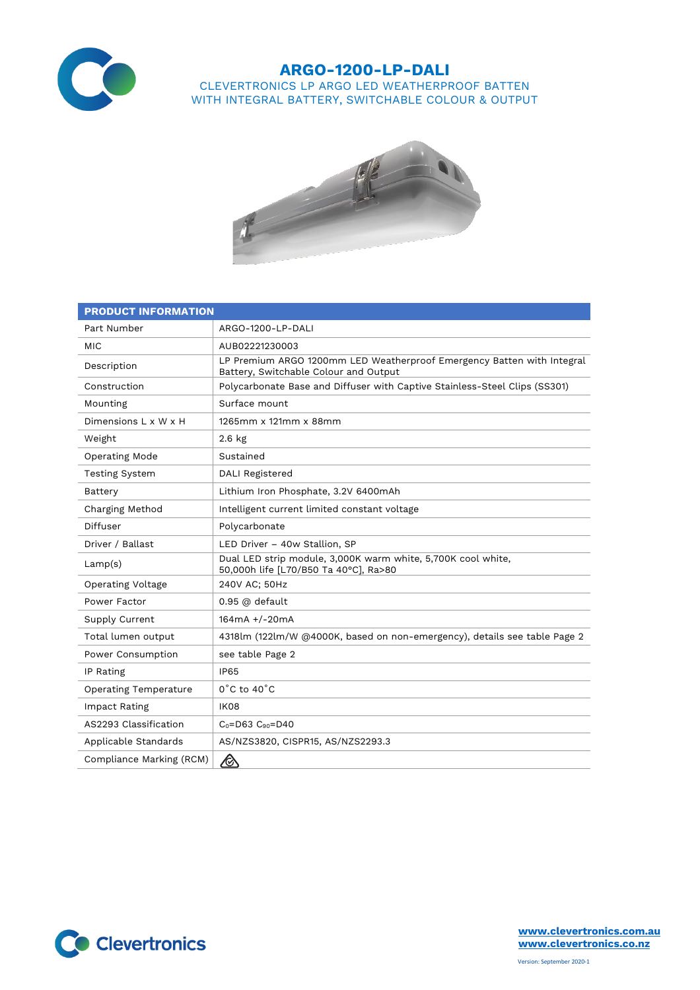

## **ARGO-1200-LP-DALI** CLEVERTRONICS LP ARGO LED WEATHERPROOF BATTEN WITH INTEGRAL BATTERY, SWITCHABLE COLOUR & OUTPUT



| <b>PRODUCT INFORMATION</b>   |                                                                                                                 |  |  |  |
|------------------------------|-----------------------------------------------------------------------------------------------------------------|--|--|--|
| Part Number                  | ARGO-1200-LP-DALI                                                                                               |  |  |  |
| MIC                          | AUB02221230003                                                                                                  |  |  |  |
| Description                  | LP Premium ARGO 1200mm LED Weatherproof Emergency Batten with Integral<br>Battery, Switchable Colour and Output |  |  |  |
| Construction                 | Polycarbonate Base and Diffuser with Captive Stainless-Steel Clips (SS301)                                      |  |  |  |
| Mounting                     | Surface mount                                                                                                   |  |  |  |
| Dimensions L x W x H         | 1265mm x 121mm x 88mm                                                                                           |  |  |  |
| Weight                       | $2.6$ kg                                                                                                        |  |  |  |
| Operating Mode               | Sustained                                                                                                       |  |  |  |
| <b>Testing System</b>        | DALI Registered                                                                                                 |  |  |  |
| Battery                      | Lithium Iron Phosphate, 3.2V 6400mAh                                                                            |  |  |  |
| Charging Method              | Intelligent current limited constant voltage                                                                    |  |  |  |
| Diffuser                     | Polycarbonate                                                                                                   |  |  |  |
| Driver / Ballast             | LED Driver - 40w Stallion, SP                                                                                   |  |  |  |
| Lamp(s)                      | Dual LED strip module, 3,000K warm white, 5,700K cool white,<br>50,000h life [L70/B50 Ta 40°C], Ra>80           |  |  |  |
| <b>Operating Voltage</b>     | 240V AC; 50Hz                                                                                                   |  |  |  |
| Power Factor                 | 0.95 @ default                                                                                                  |  |  |  |
| Supply Current               | 164mA +/-20mA                                                                                                   |  |  |  |
| Total lumen output           | 4318lm (122lm/W @4000K, based on non-emergency), details see table Page 2                                       |  |  |  |
| Power Consumption            | see table Page 2                                                                                                |  |  |  |
| IP Rating                    | <b>IP65</b>                                                                                                     |  |  |  |
| <b>Operating Temperature</b> | $0^{\circ}$ C to 40 $^{\circ}$ C                                                                                |  |  |  |
| Impact Rating                | <b>IK08</b>                                                                                                     |  |  |  |
| AS2293 Classification        | $C_0 = D63$ $C_{90} = D40$                                                                                      |  |  |  |
| Applicable Standards         | AS/NZS3820, CISPR15, AS/NZS2293.3                                                                               |  |  |  |
| Compliance Marking (RCM)     |                                                                                                                 |  |  |  |



**[www.clevertronics.com.au](http://www.clevertronics.com.au/) www.clevertronics.co.nz**